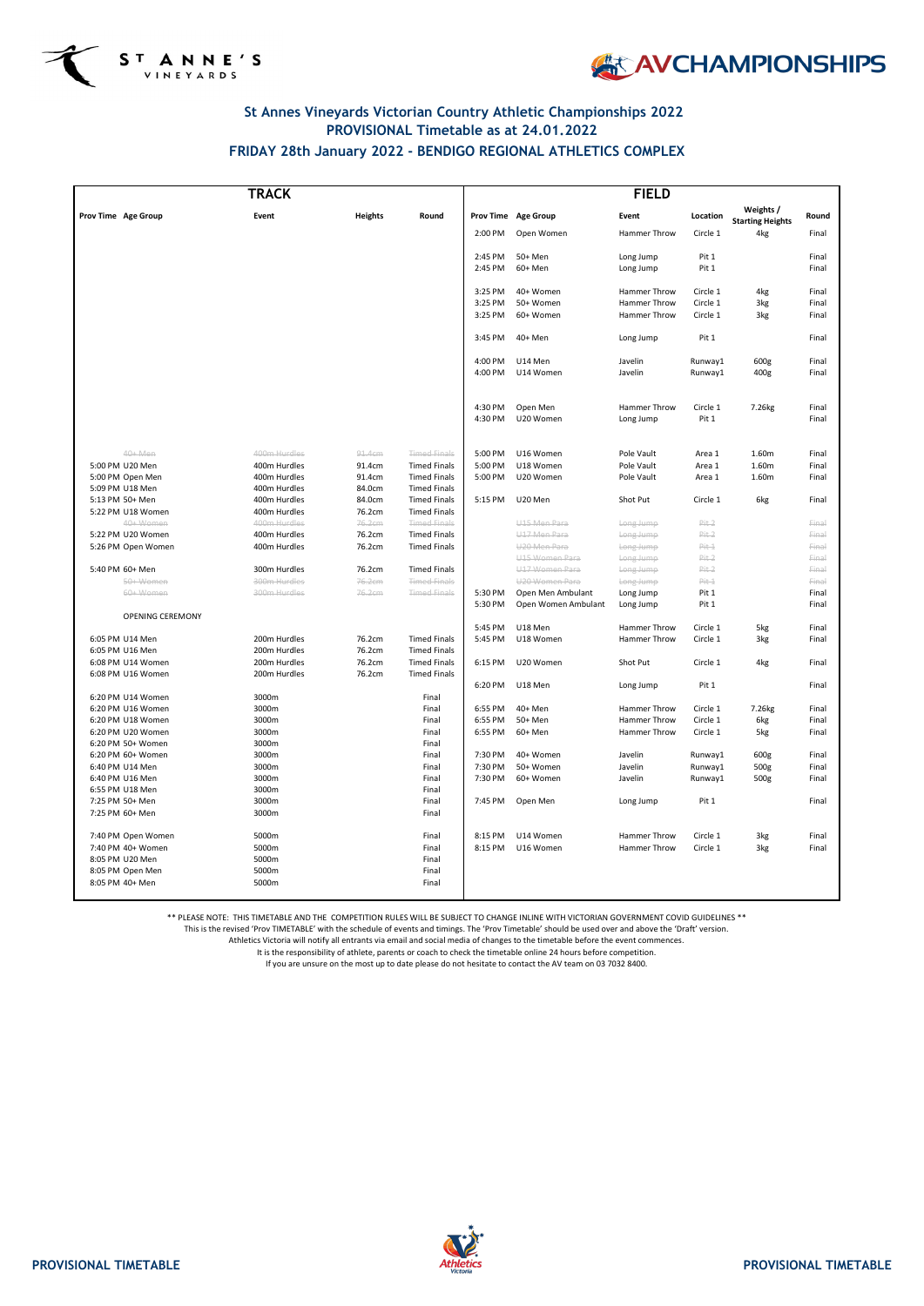



### **St Annes Vineyards Victorian Country Athletic Championships 2022 PROVISIONAL Timetable as at 24.01.2022 FRIDAY 28th January 2022 - BENDIGO REGIONAL ATHLETICS COMPLEX**

| <b>TRACK</b>                           |                              |                  |                                            | <b>FIELD</b>       |                                     |                        |                      |                                      |                |
|----------------------------------------|------------------------------|------------------|--------------------------------------------|--------------------|-------------------------------------|------------------------|----------------------|--------------------------------------|----------------|
| Prov Time Age Group                    | Event                        | <b>Heights</b>   | Round                                      |                    | Prov Time Age Group                 | Event                  | Location             | Weights /<br><b>Starting Heights</b> | Round          |
|                                        |                              |                  |                                            | 2:00 PM            | Open Women                          | <b>Hammer Throw</b>    | Circle 1             | 4kg                                  | Final          |
|                                        |                              |                  |                                            | 2:45 PM            | 50+ Men                             | Long Jump              | Pit 1                |                                      | Final          |
|                                        |                              |                  |                                            | 2:45 PM            | 60+ Men                             | Long Jump              | Pit 1                |                                      | Final          |
|                                        |                              |                  |                                            | 3:25 PM            | 40+ Women                           | <b>Hammer Throw</b>    | Circle 1             | 4kg                                  | Final          |
|                                        |                              |                  |                                            | 3:25 PM            | 50+ Women                           | Hammer Throw           | Circle 1             | 3kg                                  | Final          |
|                                        |                              |                  |                                            | 3:25 PM            | 60+ Women                           | <b>Hammer Throw</b>    | Circle 1             | 3kg                                  | Final          |
|                                        |                              |                  |                                            | 3:45 PM            | 40+ Men                             | Long Jump              | Pit 1                |                                      | Final          |
|                                        |                              |                  |                                            | 4:00 PM            | U14 Men                             | Javelin                | Runway1              | 600g                                 | Final          |
|                                        |                              |                  |                                            | 4:00 PM            | U14 Women                           | Javelin                | Runway1              | 400g                                 | Final          |
|                                        |                              |                  |                                            | 4:30 PM            | Open Men                            | Hammer Throw           | Circle 1             | 7.26kg                               | Final          |
|                                        |                              |                  |                                            | 4:30 PM            | U20 Women                           | Long Jump              | Pit 1                |                                      | Final          |
| 40+ Men                                | 400m Hurdles                 | 91.4cm           | <b>Timed Finals</b>                        | 5:00 PM            | U16 Women                           | Pole Vault             | Area 1               | 1.60m                                | Final          |
| 5:00 PM U20 Men                        | 400m Hurdles                 | 91.4cm           | <b>Timed Finals</b>                        | 5:00 PM            | U18 Women                           | Pole Vault             | Area 1               | 1.60m                                | Final          |
| 5:00 PM Open Men                       | 400m Hurdles                 | 91.4cm           | <b>Timed Finals</b>                        | 5:00 PM            | U20 Women                           | Pole Vault             | Area 1               | 1.60m                                | Final          |
| 5:09 PM U18 Men                        | 400m Hurdles                 | 84.0cm           | <b>Timed Finals</b>                        |                    |                                     |                        |                      |                                      |                |
| 5:13 PM 50+ Men                        | 400m Hurdles                 | 84.0cm           | <b>Timed Finals</b>                        | 5:15 PM            | U20 Men                             | Shot Put               | Circle 1             | 6kg                                  | Final          |
| 5:22 PM U18 Women                      | 400m Hurdles                 | 76.2cm           | <b>Timed Finals</b>                        |                    |                                     |                        |                      |                                      |                |
| 40+Women                               | 400m Hurdles                 | 76.2cm           | <b>Timed Finals</b>                        |                    | U <sub>15</sub> Men Para            | Long Jump              | Pit 2                |                                      | Final          |
| 5:22 PM U20 Women                      | 400m Hurdles                 | 76.2cm           | <b>Timed Finals</b>                        |                    | U17 Men Para                        | Long Jump              | Pit 2                |                                      | Final          |
| 5:26 PM Open Women                     | 400m Hurdles                 | 76.2cm           | <b>Timed Finals</b>                        |                    | U20 Men Para                        | Long Jump              | Pit 1                |                                      | Final          |
|                                        |                              |                  |                                            |                    | U <sub>15</sub> Women Para          | Long Jump              | Pit 2                |                                      | Final          |
| 5:40 PM 60+ Men                        | 300m Hurdles<br>300m Hurdles | 76.2cm<br>76.2cm | <b>Timed Finals</b><br><b>Timed Finals</b> |                    | U17 Women Para                      | Long Jump              | Pit 2                |                                      | Final          |
| 50+Women<br>60+Women                   | 300m Hurdles                 | 76.2cm           | <b>Timed Finals</b>                        | 5:30 PM            | U20 Women Para<br>Open Men Ambulant | Long Jump              | Pit 1<br>Pit 1       |                                      | Final<br>Final |
|                                        |                              |                  |                                            | 5:30 PM            | Open Women Ambulant                 | Long Jump<br>Long Jump | Pit 1                |                                      | Final          |
| OPENING CEREMONY                       |                              |                  |                                            | 5:45 PM            | U18 Men                             | Hammer Throw           |                      |                                      |                |
| 6:05 PM U14 Men                        | 200m Hurdles                 | 76.2cm           | <b>Timed Finals</b>                        | 5:45 PM            | U18 Women                           | Hammer Throw           | Circle 1<br>Circle 1 | 5kg<br>3kg                           | Final<br>Final |
| 6:05 PM U16 Men                        | 200m Hurdles                 | 76.2cm           | <b>Timed Finals</b>                        |                    |                                     |                        |                      |                                      |                |
| 6:08 PM U14 Women                      | 200m Hurdles                 | 76.2cm           | <b>Timed Finals</b>                        | 6:15 PM            | U20 Women                           | Shot Put               | Circle 1             | 4kg                                  | Final          |
| 6:08 PM U16 Women                      | 200m Hurdles                 | 76.2cm           | <b>Timed Finals</b>                        |                    |                                     |                        |                      |                                      |                |
|                                        |                              |                  |                                            | 6:20 PM            | U18 Men                             | Long Jump              | Pit 1                |                                      | Final          |
| 6:20 PM U14 Women                      | 3000m<br>3000m               |                  | Final                                      |                    |                                     | <b>Hammer Throw</b>    |                      |                                      |                |
| 6:20 PM U16 Women<br>6:20 PM U18 Women | 3000m                        |                  | Final<br>Final                             | 6:55 PM<br>6:55 PM | 40+ Men<br>50+ Men                  | Hammer Throw           | Circle 1<br>Circle 1 | 7.26kg<br>6kg                        | Final<br>Final |
| 6:20 PM U20 Women                      | 3000m                        |                  | Final                                      | 6:55 PM            | 60+ Men                             | <b>Hammer Throw</b>    | Circle 1             | 5kg                                  | Final          |
| 6:20 PM 50+ Women                      | 3000m                        |                  | Final                                      |                    |                                     |                        |                      |                                      |                |
| 6:20 PM 60+ Women                      | 3000m                        |                  | Final                                      | 7:30 PM            | 40+ Women                           | Javelin                | Runway1              | 600g                                 | Final          |
| 6:40 PM U14 Men                        | 3000m                        |                  | Final                                      | 7:30 PM            | 50+ Women                           | Javelin                | Runway1              | 500g                                 | Final          |
| 6:40 PM U16 Men                        | 3000m                        |                  | Final                                      | 7:30 PM            | 60+ Women                           | Javelin                | Runway1              | 500g                                 | Final          |
| 6:55 PM U18 Men                        | 3000m                        |                  | Final                                      |                    |                                     |                        |                      |                                      |                |
| 7:25 PM 50+ Men                        | 3000m                        |                  | Final                                      | 7:45 PM            | Open Men                            | Long Jump              | Pit 1                |                                      | Final          |
| 7:25 PM 60+ Men                        | 3000m                        |                  | Final                                      |                    |                                     |                        |                      |                                      |                |
| 7:40 PM Open Women                     | 5000m                        |                  | Final                                      | 8:15 PM            | U14 Women                           | Hammer Throw           | Circle 1             | 3kg                                  | Final          |
| 7:40 PM 40+ Women                      | 5000m                        |                  | Final                                      | 8:15 PM            | U16 Women                           | Hammer Throw           | Circle 1             | 3kg                                  | Final          |
| 8:05 PM U20 Men                        | 5000m                        |                  | Final                                      |                    |                                     |                        |                      |                                      |                |
| 8:05 PM Open Men                       | 5000m                        |                  | Final                                      |                    |                                     |                        |                      |                                      |                |
| 8:05 PM 40+ Men                        | 5000m                        |                  | Final                                      |                    |                                     |                        |                      |                                      |                |

\*\* PLEASE NOTE: THIS TIMETABLE AND THE COMPETITION RULES WILL BE SUBJECT TO CHANGE INLINE WITH VICTORIAN GOVERNMENT COVID GUIDELINES \*\*

This is the revised 'Prov TIMETABLE' with the schedule of events and timings. The 'Prov Timetable' should be used over and above the 'Draft' version.

Athletics Victoria will notify all entrants via email and social media of changes to the timetable before the event commences.

It is the responsibility of athlete, parents or coach to check the timetable online 24 hours before competition.



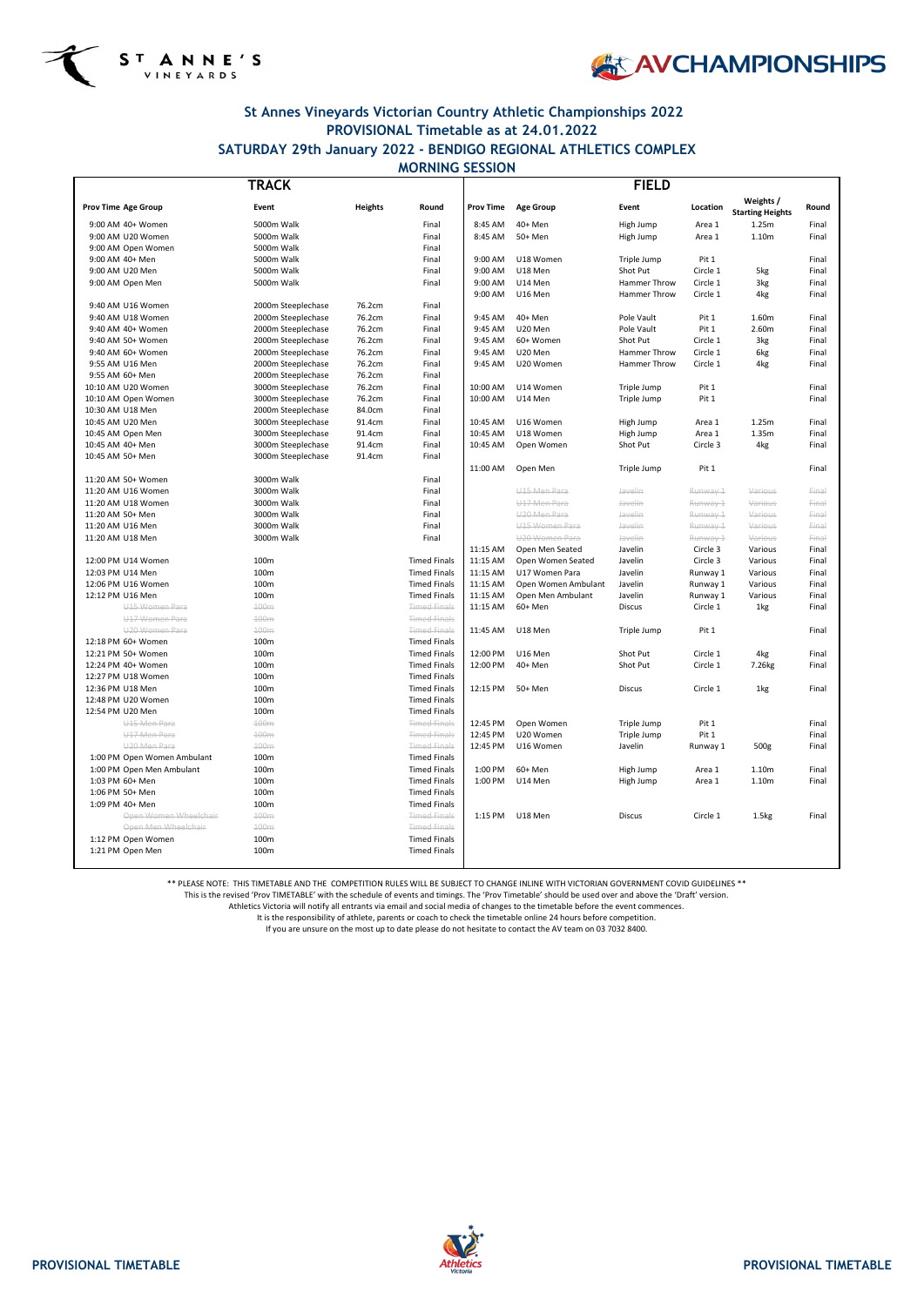



# **St Annes Vineyards Victorian Country Athletic Championships 2022 PROVISIONAL Timetable as at 24.01.2022 SATURDAY 29th January 2022 - BENDIGO REGIONAL ATHLETICS COMPLEX**

| TRACK                                        |                    |                | <b>FIELD</b>                               |                  |                          |                        |          |                                      |       |
|----------------------------------------------|--------------------|----------------|--------------------------------------------|------------------|--------------------------|------------------------|----------|--------------------------------------|-------|
| <b>Prov Time Age Group</b>                   | Event              | <b>Heights</b> | Round                                      | <b>Prov Time</b> | <b>Age Group</b>         | Event                  | Location | Weights /<br><b>Starting Heights</b> | Round |
| 9:00 AM 40+ Women                            | 5000m Walk         |                | Final                                      | 8:45 AM          | 40+ Men                  | High Jump              | Area 1   | 1.25m                                | Final |
| 9:00 AM U20 Women                            | 5000m Walk         |                | Final                                      | 8:45 AM          | 50+ Men                  | High Jump              | Area 1   | 1.10m                                | Final |
| 9:00 AM Open Women                           | 5000m Walk         |                | Final                                      |                  |                          |                        |          |                                      |       |
| 9:00 AM 40+ Men                              | 5000m Walk         |                | Final                                      | 9:00 AM          | U18 Women                | Triple Jump            | Pit 1    |                                      | Final |
| 9:00 AM U20 Men                              | 5000m Walk         |                | Final                                      | 9:00 AM          | U18 Men                  | Shot Put               | Circle 1 | 5kg                                  | Final |
| 9:00 AM Open Men                             | 5000m Walk         |                | Final                                      | 9:00 AM          | U14 Men                  | Hammer Throw           | Circle 1 | 3kg                                  | Final |
| 9:40 AM U16 Women                            | 2000m Steeplechase | 76.2cm         | Final                                      | 9:00 AM          | U16 Men                  | Hammer Throw           | Circle 1 | 4kg                                  | Final |
| 9:40 AM U18 Women                            | 2000m Steeplechase | 76.2cm         | Final                                      | 9:45 AM          | 40+ Men                  | Pole Vault             | Pit 1    | 1.60m                                | Final |
| 9:40 AM 40+ Women                            | 2000m Steeplechase | 76.2cm         | Final                                      | 9:45 AM          | U20 Men                  | Pole Vault             | Pit 1    | 2.60m                                | Final |
| 9:40 AM 50+ Women                            | 2000m Steeplechase | 76.2cm         | Final                                      | 9:45 AM          | 60+ Women                | Shot Put               | Circle 1 | 3kg                                  | Final |
| 9:40 AM 60+ Women                            | 2000m Steeplechase | 76.2cm         | Final                                      | 9:45 AM          | U20 Men                  | Hammer Throw           | Circle 1 | 6kg                                  | Final |
| 9:55 AM U16 Men                              | 2000m Steeplechase | 76.2cm         | Final                                      | 9:45 AM          | U20 Women                | Hammer Throw           | Circle 1 | 4kg                                  | Final |
| 9:55 AM 60+ Men                              | 2000m Steeplechase | 76.2cm         | Final                                      |                  |                          |                        |          |                                      |       |
| 10:10 AM U20 Women                           | 3000m Steeplechase | 76.2cm         | Final                                      | 10:00 AM         | U14 Women                | Triple Jump            | Pit 1    |                                      | Final |
| 10:10 AM Open Women                          | 3000m Steeplechase | 76.2cm         | Final                                      | 10:00 AM         | U14 Men                  | Triple Jump            | Pit 1    |                                      | Final |
| 10:30 AM U18 Men                             | 2000m Steeplechase | 84.0cm         | Final                                      |                  |                          |                        |          |                                      |       |
| 10:45 AM U20 Men                             | 3000m Steeplechase | 91.4cm         | Final                                      | 10:45 AM         | U16 Women                | High Jump              | Area 1   | 1.25m                                | Final |
| 10:45 AM Open Men                            | 3000m Steeplechase | 91.4cm         | Final                                      | 10:45 AM         | U18 Women                | High Jump              | Area 1   | 1.35m                                | Final |
| 10:45 AM 40+ Men                             | 3000m Steeplechase | 91.4cm         | Final                                      | 10:45 AM         | Open Women               | Shot Put               | Circle 3 | 4kg                                  | Final |
| 10:45 AM 50+ Men                             | 3000m Steeplechase | 91.4cm         | Final                                      | 11:00 AM         |                          |                        |          |                                      |       |
| 11:20 AM 50+ Women                           | 3000m Walk         |                | Final                                      |                  | Open Men                 | Triple Jump            | Pit 1    |                                      | Final |
| 11:20 AM U16 Women                           | 3000m Walk         |                | Final                                      |                  | U <sub>15</sub> Men Para | Javelin                | Runway 1 | Various                              | Final |
| 11:20 AM U18 Women                           | 3000m Walk         |                | Final                                      |                  | U17 Men Para             | Javelin                | Runway 1 | Various                              | Final |
| 11:20 AM 50+ Men                             | 3000m Walk         |                | Final                                      |                  | U20 Men Para             | Javelin                | Runway 1 | Various                              | Final |
| 11:20 AM U16 Men                             | 3000m Walk         |                | Final                                      |                  | U15 Women Para           | Javelin                | Runway 1 | Various                              | Final |
| 11:20 AM U18 Men                             | 3000m Walk         |                | Final                                      |                  | U20 Women Para           | Javelin                | Runway 1 | Various                              | Final |
|                                              |                    |                |                                            | 11:15 AM         | Open Men Seated          | Javelin                | Circle 3 | Various                              | Final |
| 12:00 PM U14 Women                           | 100m               |                | <b>Timed Finals</b>                        | 11:15 AM         | Open Women Seated        | Javelin                | Circle 3 | Various                              | Final |
| 12:03 PM U14 Men                             | 100m               |                | <b>Timed Finals</b>                        | 11:15 AM         | U17 Women Para           | Javelin                | Runway 1 | Various                              | Final |
| 12:06 PM U16 Women                           | 100m               |                | <b>Timed Finals</b>                        | 11:15 AM         | Open Women Ambulant      | Javelin                | Runway 1 | Various                              | Final |
| 12:12 PM U16 Men                             | 100m               |                | <b>Timed Finals</b>                        | 11:15 AM         | Open Men Ambulant        | Javelin                | Runway 1 | Various                              | Final |
| U <sub>15</sub> Women Para                   | 100m               |                | <b>Timed Finals</b>                        | 11:15 AM         | 60+ Men                  | <b>Discus</b>          | Circle 1 | 1kg                                  | Final |
| U17 Women Para<br>U <sub>20</sub> Women Para | 100m<br>100m       |                | <b>Timed Finals</b><br><b>Timed Finals</b> | 11:45 AM         | U18 Men                  | Triple Jump            | Pit 1    |                                      | Final |
| 12:18 PM 60+ Women                           | 100m               |                | <b>Timed Finals</b>                        |                  |                          |                        |          |                                      |       |
| 12:21 PM 50+ Women                           | 100m               |                | <b>Timed Finals</b>                        | 12:00 PM         | U16 Men                  | Shot Put               | Circle 1 | 4kg                                  | Final |
| 12:24 PM 40+ Women                           | 100m               |                | <b>Timed Finals</b>                        | 12:00 PM         | 40+ Men                  | Shot Put               | Circle 1 | 7.26 <sub>kg</sub>                   | Final |
| 12:27 PM U18 Women                           | 100m               |                | <b>Timed Finals</b>                        |                  |                          |                        |          |                                      |       |
| 12:36 PM U18 Men                             | 100m               |                | <b>Timed Finals</b>                        | 12:15 PM         | 50+ Men                  | <b>Discus</b>          | Circle 1 | 1kg                                  | Final |
| 12:48 PM U20 Women                           | 100m               |                | <b>Timed Finals</b>                        |                  |                          |                        |          |                                      |       |
| 12:54 PM U20 Men                             | 100m               |                | <b>Timed Finals</b>                        |                  |                          |                        |          |                                      |       |
| U <sub>15</sub> Men Para                     | 100m               |                | <b>Timed Finals</b>                        | 12:45 PM         | Open Women               | Triple Jump            | Pit 1    |                                      | Final |
| U17 Men Para                                 | 100m               |                | <b>Timed Finals</b>                        | 12:45 PM         | U20 Women                | Triple Jump            | Pit 1    |                                      | Final |
| U <sub>20</sub> Men Para                     | 100m               |                | <b>Timed Finals</b>                        | 12:45 PM         | U16 Women                | Javelin                | Runway 1 | 500g                                 | Final |
| 1:00 PM Open Women Ambulant                  | 100m               |                | <b>Timed Finals</b>                        |                  |                          |                        |          |                                      |       |
| 1:00 PM Open Men Ambulant                    | 100m               |                | <b>Timed Finals</b>                        | 1:00 PM          | 60+ Men                  | High Jump<br>High Jump | Area 1   | 1.10 <sub>m</sub>                    | Final |
| 1:03 PM 60+ Men<br>1:06 PM 50+ Men           | 100m<br>100m       |                | <b>Timed Finals</b><br><b>Timed Finals</b> | 1:00 PM          | U14 Men                  |                        | Area 1   | 1.10m                                | Final |
| 1:09 PM 40+ Men                              | 100m               |                | <b>Timed Finals</b>                        |                  |                          |                        |          |                                      |       |
| Open Women Wheelchair                        | 100m               |                | <b>Timed Finals</b>                        | 1:15 PM          | U18 Men                  | <b>Discus</b>          | Circle 1 | 1.5 <sub>kg</sub>                    | Final |
| Open Men Wheelchair                          | 100m               |                | <b>Timed Finals</b>                        |                  |                          |                        |          |                                      |       |
| 1:12 PM Open Women                           | 100m               |                | <b>Timed Finals</b>                        |                  |                          |                        |          |                                      |       |
| 1:21 PM Open Men                             | 100m               |                | <b>Timed Finals</b>                        |                  |                          |                        |          |                                      |       |
|                                              |                    |                |                                            |                  |                          |                        |          |                                      |       |

# **MORNING SESSION**

\*\* PLEASE NOTE: THIS TIMETABLE AND THE COMPETITION RULES WILL BE SUBJECT TO CHANGE INLINE WITH VICTORIAN GOVERNMENT COVID GUIDELINES \*\*

This is the revised 'Prov TIMETABLE' with the schedule of events and timings. The 'Prov Timetable' should be used over and above the 'Draft' version.

Athletics Victoria will notify all entrants via email and social media of changes to the timetable before the event commences.

It is the responsibility of athlete, parents or coach to check the timetable online 24 hours before competition.



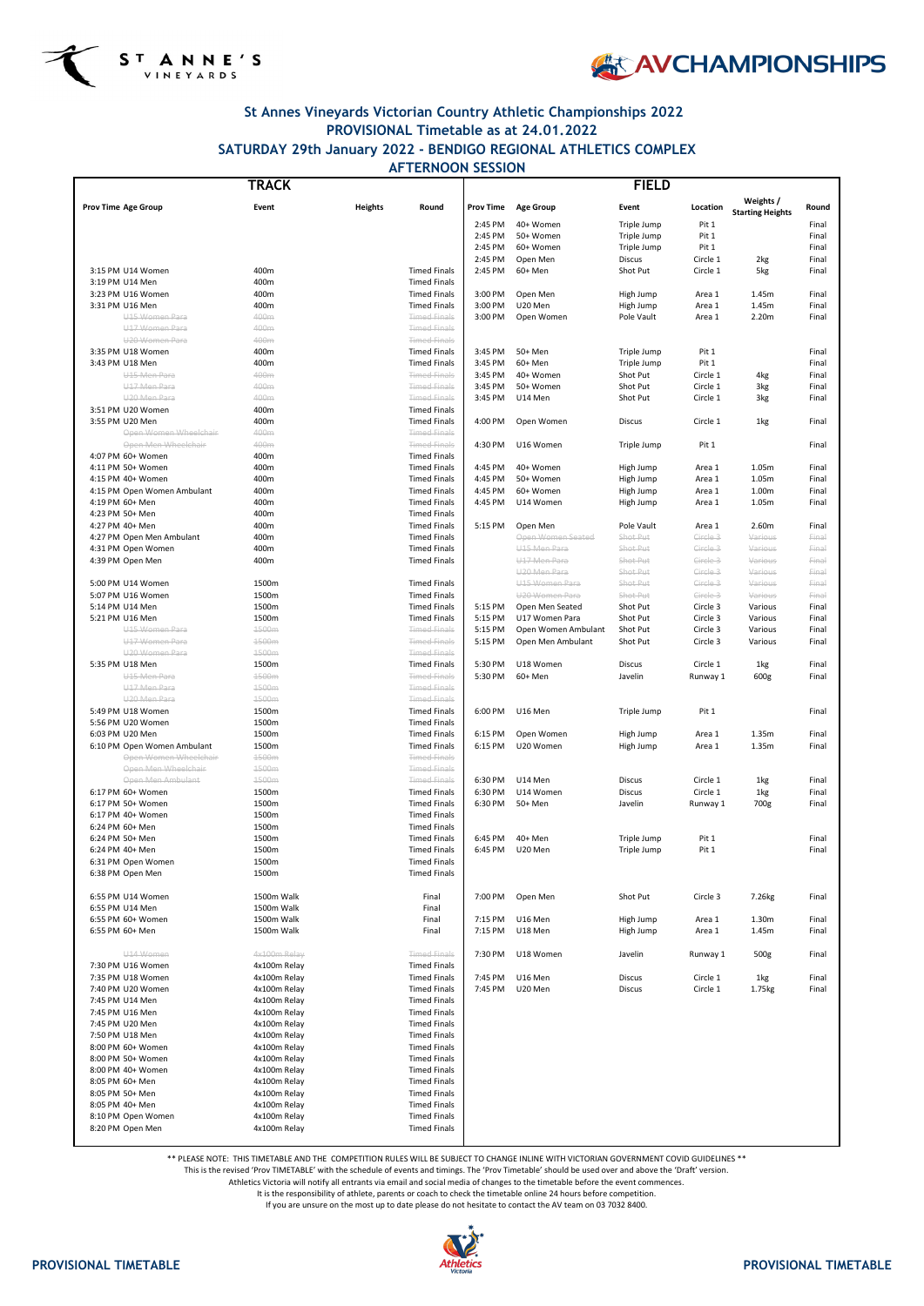



# **St Annes Vineyards Victorian Country Athletic Championships 2022 PROVISIONAL Timetable as at 24.01.2022 SATURDAY 29th January 2022 - BENDIGO REGIONAL ATHLETICS COMPLEX**

### **Prov Time Age Group Event Heights Round Prov Time Age Group Event Location Weights / Starting Heights Round** 2:45 PM 40+ Women Triple Jump Pit 1 Final 2:45 PM 50+ Women Triple Jump Pit 1 Final 2:45 PM 60+ Women Triple Jump Pit 1 Final 2:45 PM Open Men Discus Circle 1 2kg Final 3:15 PM U14 Women 400m Timed Finals 2:45 PM 60+ Men Shot Put Circle 1 5kg Final 3:19 PM U14 Men 100 PM U14 Men 100 PM 400m 3:23 PM U16 Women 400m Timed Finals 3:00 PM Open Men High Jump Area 1 1.45m Final 3:31 PM U16 Men 400m Timed Finals 3:00 PM U20 Men High Jump Area 1 1.45m Final U15 Women Para **ADD ANGER ANG THE CONTACT METER CONTACT A**rea 1 2.20m Final POLE Vault Area 1 2.20m Final U17 Women Para 200 and 400 m 400 m and the U17 Women Para 3 and 400 m and 400 m and 5 and 5 and 5 and 5 and 5 and 5 and 5 and 5 and 5 and 5 and 5 and 5 and 5 and 5 and 5 and 5 and 5 and 5 and 5 and 5 and 5 and 5 and 5 and U20 Women Para **400m** 400m **Timed Finals** 3:35 PM U18 Women 400m Timed Finals 3:45 PM 50+ Men Triple Jump Pit 1 Final 3:43 PM U18 Men 400m Timed Finals 3:45 PM 60+ Men Triple Jump Pit 1 Final U15 Men Para 400m Timed Finals 3:45 PM 40+ Women Shot Put Circle 1 4kg Final U17 Men Para 400m Timed Finals 3:45 PM 50+ Women Shot Put Circle 1 3kg Final U20 Men Para 400m Timed Finals 3:45 PM U14 Men Shot Put Circle 1 3kg Final 3:51 PM U20 Women 400m Timed Finals 3:55 PM U20 Men 400m Timed Finals 4:00 PM Open Women Discus Circle 1 1kg Final Open Women Wheelchair 400m Timed Finals Open Men Wheelchair and A00m **And State Communist Communist Communist A:30 PM U16 Women** Triple Jump Pit 1 Final 4:07 PM 60+ Women 400m Timed Finals 4:11 PM 50+ Women 400m Timed Finals 4:45 PM 40+ Women High Jump Area 1 1.05m Final 4:15 PM 40+ Women 400m Timed Finals 4:45 PM 50+ Women High Jump Area 1 1.05m Final 4:15 PM Open Women Ambulant 400m **Area 1** 400m Timed Finals | 4:45 PM 60+ Women High Jump Area 1 1.00m Final 4:19 PM 60+ Men 400m Timed Finals 4:45 PM U14 Women High Jump Area 1 1.05m Final 4:23 PM 50+ Men 400m Timed Finals 4:27 PM 40+ Men 400m Timed Finals 5:15 PM Open Men Pole Vault Area 1 2.60m Final 4:27 PM Open Men Ambulant 400m Timed Finals Open Women Seated Shot Put Circle 3 Various Final **4:31 PM Open Women 400m 400m Timed Finals** U15 Men Para Shot Put Circle 3 Various Final 4:39 PM Open Men 400m Timed Finals U17 Men Para Shot Put Circle 3 Various Final U20 Men Para Shot Put Circle 3 Various Final 5:00 PM U14 Women 1500m Timed Finals U15 Women Para Shot Put Circle 3 Various Final 5:07 PM U16 Women 1500m Timed Finals U20 Women Para Shot Put Circle 3 Various Final 5:14 PM U14 Men 1500m 1500m 1500m Stated Shot Put Circle 3 Various Finals Finals Stated Shot Put Circle 3 Various Final 5:21 PM U16 Men 1500m 1500m 1500m St.15 PM U17 Women Para Shot Put Circle 3 Various Final Shot Put Circle 3 Various Final U15 Women Para 1500m 1500m 1500m Timed Finals 15:15 PM Open Women Ambulant Shot Put Circle 3 Various Final U17 Women Para 1500m 1500m 1500m Timed Finals 5:15 PM Open Men Ambulant Shot Put Circle 3 Various Final U20 Women Para 1500m Timed Finals 5:35 PM U18 Men 1500m 1500m 1500m – Timed Finals 15:30 PM U18 Women Discus Circle 1 1kg Final U15 Men Para 1500m Timed Finals 5:30 PM 60+ Men Javelin Runway 1 600g Final U17 Men Para 2000 1500m 1500m 1500m 1500m 1600m 1600m 1600m 1600m 1600m 1600m 1600m 1600m 1600m 1600m 1600m 160 U20 Men Para 1500m tahun 1500m terbada dari kecamatan Sejaratan Sejaratan Sejaratan Sejaratan Sejarah Timed Finals 5:49 PM U18 Women 1500m Timed Finals 6:00 PM U16 Men Triple Jump Pit 1 Final 5:56 PM U20 Women 1500m Timed Finals 6:03 PM U20 Men 1500m 1500m 16:03 PM U20 Men 1500m 1500m Communist Communist Communist Communist Communist Communist Communist Communist Communist Communist Communist Communist Communist Communist Communist Communist Commu 6:10 PM Open Women Ambulant 1500m Timed Finals 6:15 PM U20 Women High Jump Area 1 1.35m Final Open Women Wheelchair 1500m 1500m 1500m Timed Finals Open Men Wheelchair **1500m** 1500m 1500m Timed Finals Open Men Ambulant 1500m 1500m 1500m Timed Finals **6:30 PM U14 Men Discus Circle 1 1kg Final** 6:17 PM 60+ Women 1500m 1500m Timed Finals | 6:30 PM U14 Women Discus Circle 1 1kg Final 6:17 PM 50+ Women 1500m 1500m 1500m Timed Finals 16:30 PM 50+ Men Javelin Runway 1 700g Final 6:17 PM 40+ Women 1500m Timed Finals 6:24 PM 60+ Men 1500m Timed Finals 6:24 PM 50+ Men 1500m 1500m 1500m Timed Finals 6:45 PM 40+ Men Triple Jump Pit 1 Final 6:24 PM 40+ Men 1500m 1500m 1500m Timed Finals 6:45 PM U20 Men Triple Jump Pit 1 Final 6:31 PM Open Women 1500m 1500m 1500m 6:38 PM Open Men 1500m Timed Finals 6:55 PM U14 Women 1500m Walk Final Final 7:00 PM Open Men Shot Put Circle 3 7.26kg Final 6:55 PM U14 Men 1500m Walk 1500m Walk Final 6:55 PM 60+ Women 1500m Walk 1500m Walk Final 17:15 PM U16 Men High Jump Area 1 1.30m Final 6:55 PM 60+ Men 1500m Walk Final Politics of the Multimateur of the Men High Jump Area 1 1.45m Final U14 Women 4x100m Relay Timed Finals 7:30 PM U18 Women Javelin Runway 1 500g Final **TRACK FIELD AFTERNOON SESSION**

7:30 PM U16 Women 4x100m Relay 4x100m Relay Timed Finals 7:35 PM U18 Women 4x100m Relay Timed Finals 7:45 PM U16 Men Discus Circle 1 1kg Final

| 7:40 PM U20 Women  | 4x100m Relay | <b>Timed Finals</b> | 7:45 PM | U20 Men | <b>Discus</b> | Circle 1 | 1.75kg | Final |
|--------------------|--------------|---------------------|---------|---------|---------------|----------|--------|-------|
| 7:45 PM U14 Men    | 4x100m Relay | <b>Timed Finals</b> |         |         |               |          |        |       |
| 7:45 PM U16 Men    | 4x100m Relay | <b>Timed Finals</b> |         |         |               |          |        |       |
| 7:45 PM U20 Men    | 4x100m Relay | <b>Timed Finals</b> |         |         |               |          |        |       |
| 7:50 PM U18 Men    | 4x100m Relay | <b>Timed Finals</b> |         |         |               |          |        |       |
| 8:00 PM 60+ Women  | 4x100m Relay | <b>Timed Finals</b> |         |         |               |          |        |       |
| 8:00 PM 50+ Women  | 4x100m Relay | <b>Timed Finals</b> |         |         |               |          |        |       |
| 8:00 PM 40+ Women  | 4x100m Relay | <b>Timed Finals</b> |         |         |               |          |        |       |
| 8:05 PM 60+ Men    | 4x100m Relay | <b>Timed Finals</b> |         |         |               |          |        |       |
| 8:05 PM 50+ Men    | 4x100m Relay | <b>Timed Finals</b> |         |         |               |          |        |       |
| 8:05 PM 40+ Men    | 4x100m Relay | <b>Timed Finals</b> |         |         |               |          |        |       |
| 8:10 PM Open Women | 4x100m Relay | <b>Timed Finals</b> |         |         |               |          |        |       |
| 8:20 PM Open Men   | 4x100m Relay | <b>Timed Finals</b> |         |         |               |          |        |       |
|                    |              |                     |         |         |               |          |        |       |

\*\* PLEASE NOTE: THIS TIMETABLE AND THE COMPETITION RULES WILL BE SUBJECT TO CHANGE INLINE WITH VICTORIAN GOVERNMENT COVID GUIDELINES \*\*

This is the revised 'Prov TIMETABLE' with the schedule of events and timings. The 'Prov Timetable' should be used over and above the 'Draft' version.

Athletics Victoria will notify all entrants via email and social media of changes to the timetable before the event commences.

It is the responsibility of athlete, parents or coach to check the timetable online 24 hours before competition.